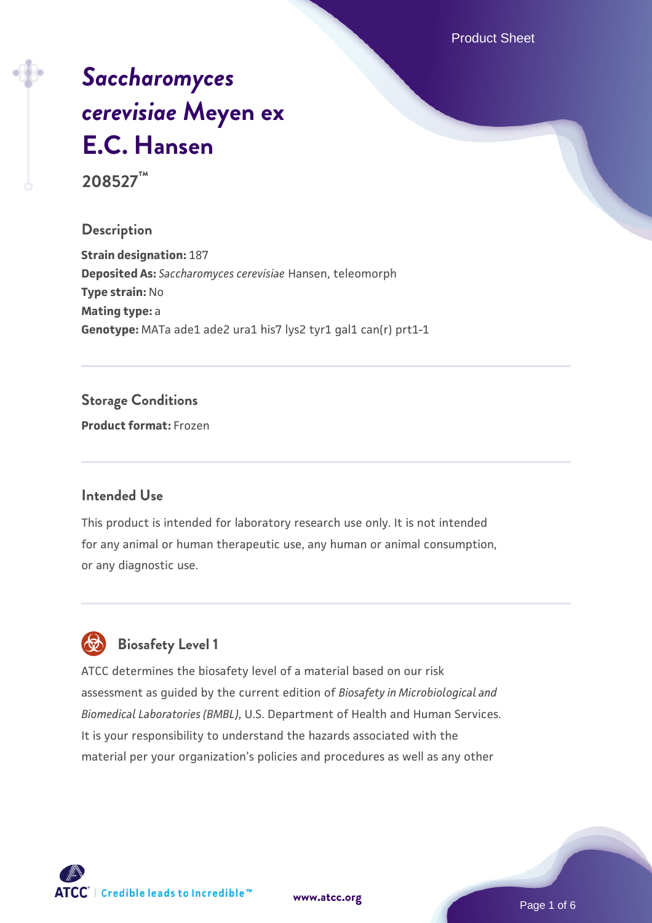Product Sheet

# *[Saccharomyces](https://www.atcc.org/products/208527) [cerevisiae](https://www.atcc.org/products/208527)* **[Meyen ex](https://www.atcc.org/products/208527) [E.C. Hansen](https://www.atcc.org/products/208527)**

**208527™**

#### **Description**

**Strain designation:** 187 **Deposited As:** *Saccharomyces cerevisiae* Hansen, teleomorph **Type strain:** No **Mating type:** a Genotype: MATa ade1 ade2 ura1 his7 lys2 tyr1 gal1 can(r) prt1-1

#### **Storage Conditions**

**Product format:** Frozen

#### **Intended Use**

This product is intended for laboratory research use only. It is not intended for any animal or human therapeutic use, any human or animal consumption, or any diagnostic use.



#### **Biosafety Level 1**

ATCC determines the biosafety level of a material based on our risk assessment as guided by the current edition of *Biosafety in Microbiological and Biomedical Laboratories (BMBL)*, U.S. Department of Health and Human Services. It is your responsibility to understand the hazards associated with the material per your organization's policies and procedures as well as any other

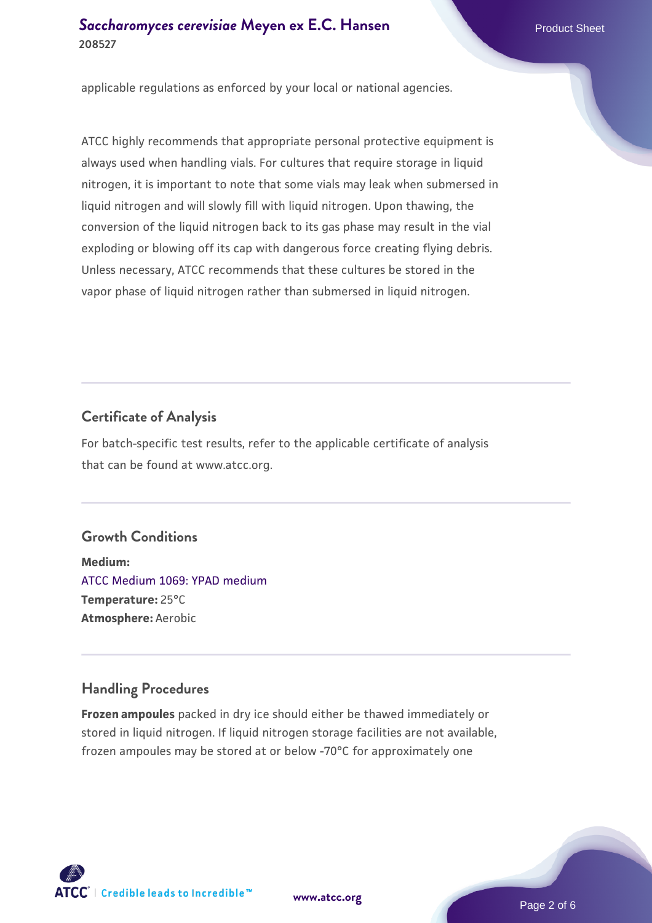#### **[Saccharomyces cerevisiae](https://www.atcc.org/products/208527)** [Meyen ex E.C. Hansen](https://www.atcc.org/products/208527) **208527**

applicable regulations as enforced by your local or national agencies.

ATCC highly recommends that appropriate personal protective equipment is always used when handling vials. For cultures that require storage in liquid nitrogen, it is important to note that some vials may leak when submersed in liquid nitrogen and will slowly fill with liquid nitrogen. Upon thawing, the conversion of the liquid nitrogen back to its gas phase may result in the vial exploding or blowing off its cap with dangerous force creating flying debris. Unless necessary, ATCC recommends that these cultures be stored in the vapor phase of liquid nitrogen rather than submersed in liquid nitrogen.

#### **Certificate of Analysis**

For batch-specific test results, refer to the applicable certificate of analysis that can be found at www.atcc.org.

#### **Growth Conditions**

**Medium:**  [ATCC Medium 1069: YPAD medium](https://www.atcc.org/-/media/product-assets/documents/microbial-media-formulations/1/0/6/9/atcc-medium-1069.pdf?rev=470121f83a034140a8ab4b1ded1bca66) **Temperature:** 25°C **Atmosphere:** Aerobic

#### **Handling Procedures**

**Frozen ampoules** packed in dry ice should either be thawed immediately or stored in liquid nitrogen. If liquid nitrogen storage facilities are not available, frozen ampoules may be stored at or below -70°C for approximately one



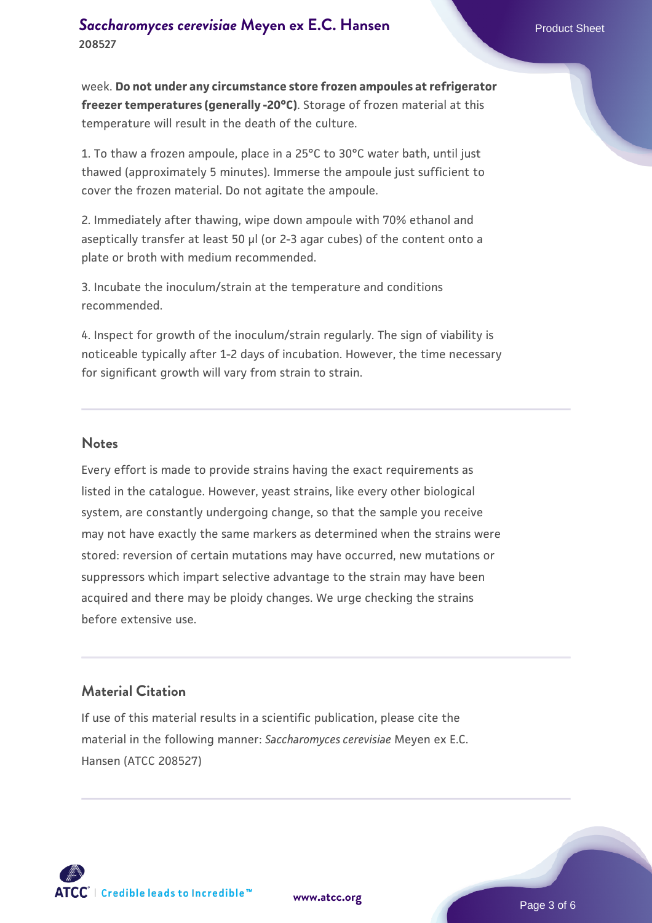week. **Do not under any circumstance store frozen ampoules at refrigerator freezer temperatures (generally -20°C)**. Storage of frozen material at this temperature will result in the death of the culture.

1. To thaw a frozen ampoule, place in a 25°C to 30°C water bath, until just thawed (approximately 5 minutes). Immerse the ampoule just sufficient to cover the frozen material. Do not agitate the ampoule.

2. Immediately after thawing, wipe down ampoule with 70% ethanol and aseptically transfer at least 50 µl (or 2-3 agar cubes) of the content onto a plate or broth with medium recommended.

3. Incubate the inoculum/strain at the temperature and conditions recommended.

4. Inspect for growth of the inoculum/strain regularly. The sign of viability is noticeable typically after 1-2 days of incubation. However, the time necessary for significant growth will vary from strain to strain.

#### **Notes**

Every effort is made to provide strains having the exact requirements as listed in the catalogue. However, yeast strains, like every other biological system, are constantly undergoing change, so that the sample you receive may not have exactly the same markers as determined when the strains were stored: reversion of certain mutations may have occurred, new mutations or suppressors which impart selective advantage to the strain may have been acquired and there may be ploidy changes. We urge checking the strains before extensive use.

#### **Material Citation**

If use of this material results in a scientific publication, please cite the material in the following manner: *Saccharomyces cerevisiae* Meyen ex E.C. Hansen (ATCC 208527)



**[www.atcc.org](http://www.atcc.org)**

Page 3 of 6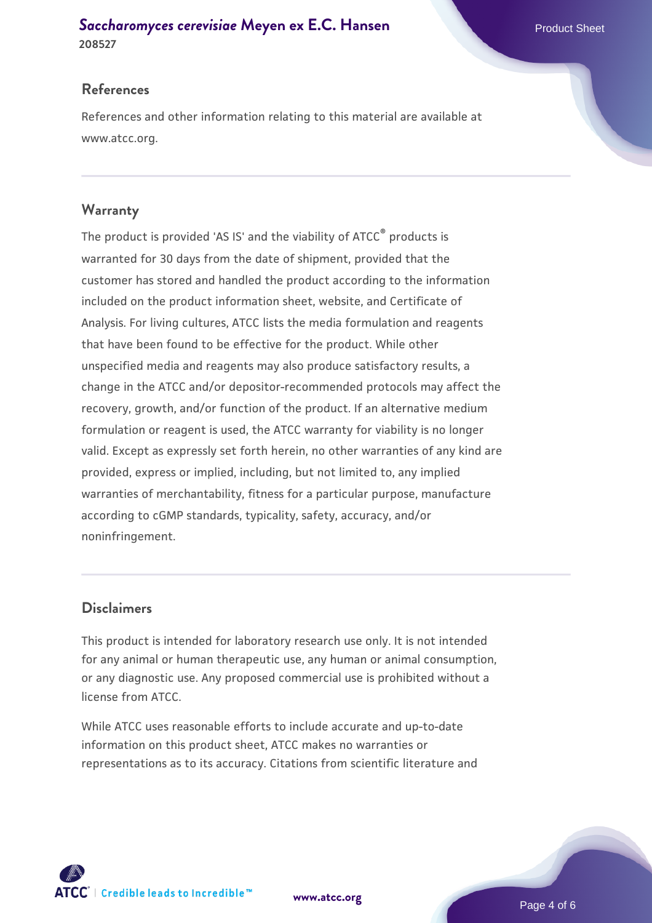## **[Saccharomyces cerevisiae](https://www.atcc.org/products/208527)** [Meyen ex E.C. Hansen](https://www.atcc.org/products/208527)

**208527**

#### **References**

References and other information relating to this material are available at www.atcc.org.

#### **Warranty**

The product is provided 'AS IS' and the viability of ATCC® products is warranted for 30 days from the date of shipment, provided that the customer has stored and handled the product according to the information included on the product information sheet, website, and Certificate of Analysis. For living cultures, ATCC lists the media formulation and reagents that have been found to be effective for the product. While other unspecified media and reagents may also produce satisfactory results, a change in the ATCC and/or depositor-recommended protocols may affect the recovery, growth, and/or function of the product. If an alternative medium formulation or reagent is used, the ATCC warranty for viability is no longer valid. Except as expressly set forth herein, no other warranties of any kind are provided, express or implied, including, but not limited to, any implied warranties of merchantability, fitness for a particular purpose, manufacture according to cGMP standards, typicality, safety, accuracy, and/or noninfringement.

#### **Disclaimers**

This product is intended for laboratory research use only. It is not intended for any animal or human therapeutic use, any human or animal consumption, or any diagnostic use. Any proposed commercial use is prohibited without a license from ATCC.

While ATCC uses reasonable efforts to include accurate and up-to-date information on this product sheet, ATCC makes no warranties or representations as to its accuracy. Citations from scientific literature and

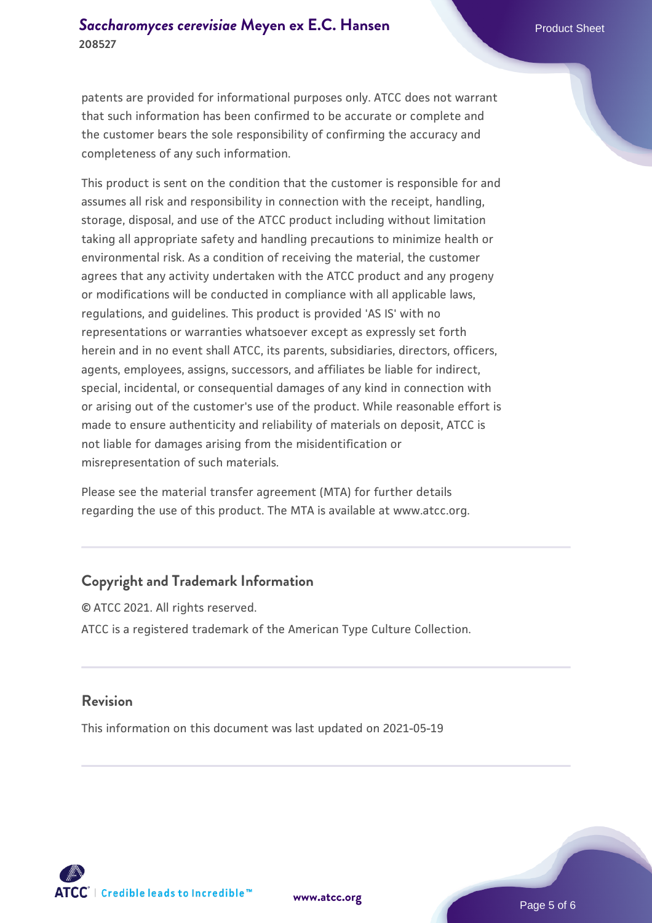patents are provided for informational purposes only. ATCC does not warrant that such information has been confirmed to be accurate or complete and the customer bears the sole responsibility of confirming the accuracy and completeness of any such information.

This product is sent on the condition that the customer is responsible for and assumes all risk and responsibility in connection with the receipt, handling, storage, disposal, and use of the ATCC product including without limitation taking all appropriate safety and handling precautions to minimize health or environmental risk. As a condition of receiving the material, the customer agrees that any activity undertaken with the ATCC product and any progeny or modifications will be conducted in compliance with all applicable laws, regulations, and guidelines. This product is provided 'AS IS' with no representations or warranties whatsoever except as expressly set forth herein and in no event shall ATCC, its parents, subsidiaries, directors, officers, agents, employees, assigns, successors, and affiliates be liable for indirect, special, incidental, or consequential damages of any kind in connection with or arising out of the customer's use of the product. While reasonable effort is made to ensure authenticity and reliability of materials on deposit, ATCC is not liable for damages arising from the misidentification or misrepresentation of such materials.

Please see the material transfer agreement (MTA) for further details regarding the use of this product. The MTA is available at www.atcc.org.

#### **Copyright and Trademark Information**

© ATCC 2021. All rights reserved. ATCC is a registered trademark of the American Type Culture Collection.

#### **Revision**

This information on this document was last updated on 2021-05-19



**[www.atcc.org](http://www.atcc.org)**

Page 5 of 6